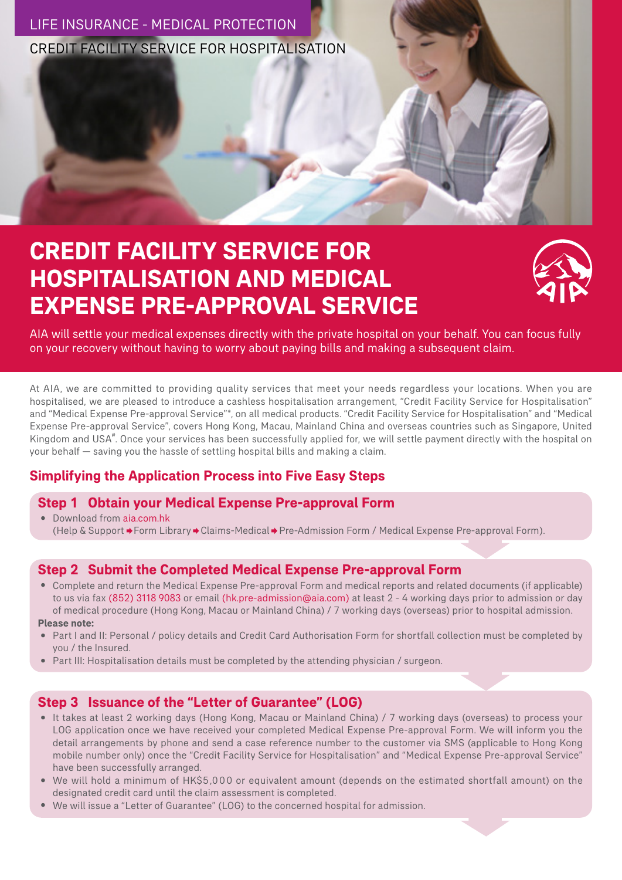

# **CREDIT FACILITY SERVICE FOR HOSPITALISATION AND MEDICAL EXPENSE PRE-APPROVAL SERVICE**



AIA will settle your medical expenses directly with the private hospital on your behalf. You can focus fully on your recovery without having to worry about paying bills and making a subsequent claim.

At AIA, we are committed to providing quality services that meet your needs regardless your locations. When you are hospitalised, we are pleased to introduce a cashless hospitalisation arrangement, "Credit Facility Service for Hospitalisation" and "Medical Expense Pre-approval Service"\*, on all medical products. "Credit Facility Service for Hospitalisation" and "Medical Expense Pre-approval Service", covers Hong Kong, Macau, Mainland China and overseas countries such as Singapore, United Kingdom and USA<sup>#</sup>. Once your services has been successfully applied for, we will settle payment directly with the hospital on your behalf — saving you the hassle of settling hospital bills and making a claim.

# **Simplifying the Application Process into Five Easy Steps**

# **Step 1 Obtain your Medical Expense Pre-approval Form**

‧ Download from aia.com.hk (Help & Support → Form Library → Claims-Medical → Pre-Admission Form / Medical Expense Pre-approval Form).

# **Step 2 Submit the Completed Medical Expense Pre-approval Form**

- ‧ Complete and return the Medical Expense Pre-approval Form and medical reports and related documents (if applicable) to us via fax (852) 3118 9083 or email (hk.pre-admission@aia.com) at least 2 - 4 working days prior to admission or day of medical procedure (Hong Kong, Macau or Mainland China) / 7 working days (overseas) prior to hospital admission. **Please note:**
- ‧ Part I and II: Personal / policy details and Credit Card Authorisation Form for shortfall collection must be completed by you / the Insured.
- ‧ Part III: Hospitalisation details must be completed by the attending physician / surgeon.

# **Step 3 Issuance of the "Letter of Guarantee" (LOG)**

- It takes at least 2 working days (Hong Kong, Macau or Mainland China) / 7 working days (overseas) to process your LOG application once we have received your completed Medical Expense Pre-approval Form. We will inform you the detail arrangements by phone and send a case reference number to the customer via SMS (applicable to Hong Kong mobile number only) once the "Credit Facility Service for Hospitalisation" and "Medical Expense Pre-approval Service" have been successfully arranged.
- We will hold a minimum of HK\$5,000 or equivalent amount (depends on the estimated shortfall amount) on the designated credit card until the claim assessment is completed.
- ‧ We will issue a "Letter of Guarantee" (LOG) to the concerned hospital for admission.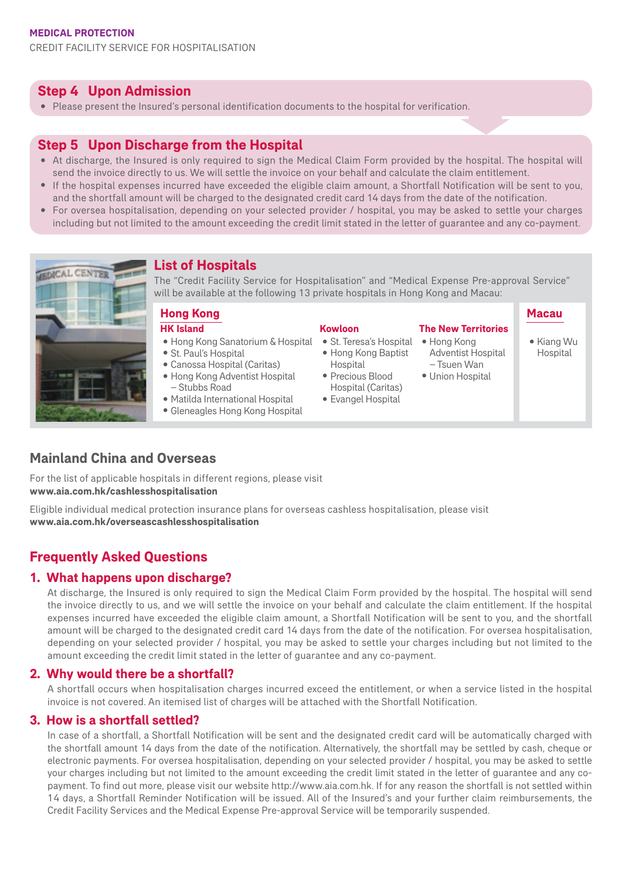CREDIT FACILITY SERVICE FOR HOSPITALISATION

## **Step 4 Upon Admission**

‧ Please present the Insured's personal identification documents to the hospital for verification.

## **Step 5 Upon Discharge from the Hospital**

- At discharge, the Insured is only required to sign the Medical Claim Form provided by the hospital. The hospital will send the invoice directly to us. We will settle the invoice on your behalf and calculate the claim entitlement.
- ‧ If the hospital expenses incurred have exceeded the eligible claim amount, a Shortfall Notification will be sent to you, and the shortfall amount will be charged to the designated credit card 14 days from the date of the notification.
- ‧ For oversea hospitalisation, depending on your selected provider / hospital, you may be asked to settle your charges including but not limited to the amount exceeding the credit limit stated in the letter of guarantee and any co-payment.



# **List of Hospitals**

The "Credit Facility Service for Hospitalisation" and "Medical Expense Pre-approval Service" will be available at the following 13 private hospitals in Hong Kong and Macau:

#### **Hong Kong HK Island**

- ‧Hong Kong Sanatorium & Hospital
- ‧St. Paul's Hospital
- ‧Canossa Hospital (Caritas)
- ‧Hong Kong Adventist Hospital – Stubbs Road
- ‧Matilda International Hospital
- Gleneagles Hong Kong Hospital

#### **Kowloon**

- St. Teresa's Hospital Hong Kong
- ‧Hong Kong Baptist **Hospital**
- ‧Precious Blood Hospital (Caritas)
- ‧Evangel Hospital

## **Macau**

**The New Territories**

Adventist Hospital – Tsuen Wan ‧ Union Hospital

‧Kiang Wu **Hospital** 

# **Mainland China and Overseas**

For the list of applicable hospitals in different regions, please visit **www.aia.com.hk/cashlesshospitalisation**

Eligible individual medical protection insurance plans for overseas cashless hospitalisation, please visit **www.aia.com.hk/overseascashlesshospitalisation**

# **Frequently Asked Questions**

#### **1. What happens upon discharge?**

At discharge, the Insured is only required to sign the Medical Claim Form provided by the hospital. The hospital will send the invoice directly to us, and we will settle the invoice on your behalf and calculate the claim entitlement. If the hospital expenses incurred have exceeded the eligible claim amount, a Shortfall Notification will be sent to you, and the shortfall amount will be charged to the designated credit card 14 days from the date of the notification. For oversea hospitalisation, depending on your selected provider / hospital, you may be asked to settle your charges including but not limited to the amount exceeding the credit limit stated in the letter of guarantee and any co-payment.

#### **2. Why would there be a shortfall?**

A shortfall occurs when hospitalisation charges incurred exceed the entitlement, or when a service listed in the hospital invoice is not covered. An itemised list of charges will be attached with the Shortfall Notification.

#### **3. How is a shortfall settled?**

In case of a shortfall, a Shortfall Notification will be sent and the designated credit card will be automatically charged with the shortfall amount 14 days from the date of the notification. Alternatively, the shortfall may be settled by cash, cheque or electronic payments. For oversea hospitalisation, depending on your selected provider / hospital, you may be asked to settle your charges including but not limited to the amount exceeding the credit limit stated in the letter of guarantee and any copayment. To find out more, please visit our website http://www.aia.com.hk. If for any reason the shortfall is not settled within 14 days, a Shortfall Reminder Notification will be issued. All of the Insured's and your further claim reimbursements, the Credit Facility Services and the Medical Expense Pre-approval Service will be temporarily suspended.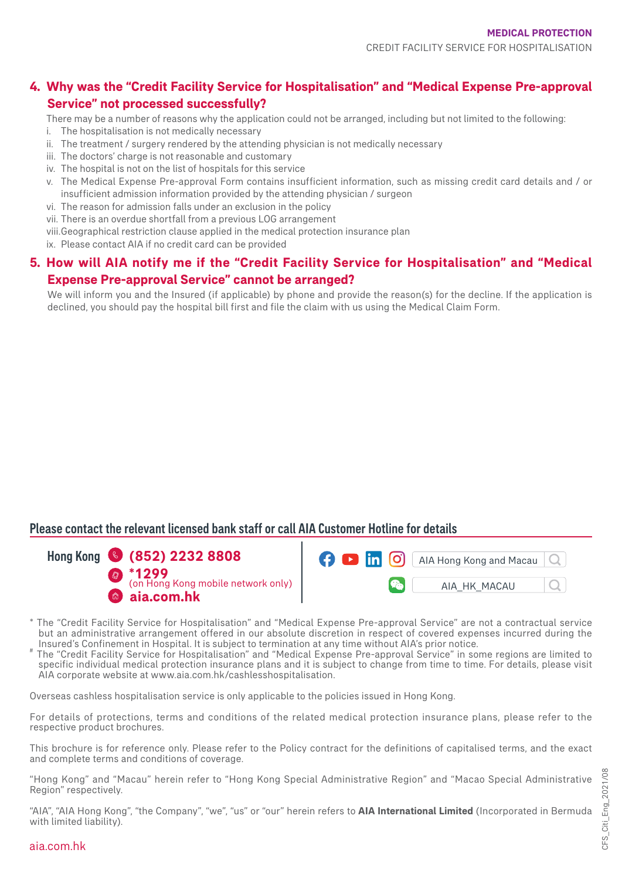# **4. Why was the "Credit Facility Service for Hospitalisation" and "Medical Expense Pre-approval Service" not processed successfully?**

There may be a number of reasons why the application could not be arranged, including but not limited to the following:

- i. The hospitalisation is not medically necessary
- ii. The treatment / surgery rendered by the attending physician is not medically necessary
- iii. The doctors' charge is not reasonable and customary
- iv. The hospital is not on the list of hospitals for this service
- v. The Medical Expense Pre-approval Form contains insufficient information, such as missing credit card details and / or insufficient admission information provided by the attending physician / surgeon
- vi. The reason for admission falls under an exclusion in the policy
- vii. There is an overdue shortfall from a previous LOG arrangement
- viii.Geographical restriction clause applied in the medical protection insurance plan
- ix. Please contact AIA if no credit card can be provided

# **5. How will AIA notify me if the "Credit Facility Service for Hospitalisation" and "Medical Expense Pre-approval Service" cannot be arranged?**

We will inform you and the Insured (if applicable) by phone and provide the reason(s) for the decline. If the application is declined, you should pay the hospital bill first and file the claim with us using the Medical Claim Form.

# Please contact the relevant licensed bank staff or call AIA Customer Hotline for details





- \* The "Credit Facility Service for Hospitalisation" and "Medical Expense Pre-approval Service" are not a contractual service but an administrative arrangement offered in our absolute discretion in respect of covered expenses incurred during the Insured's Confinement in Hospital. It is subject to termination at any time without AIA's prior notice
- The "Credit Facility Service for Hospitalisation" and "Medical Expense Pre-approval Service" in some regions are limited to specific individual medical protection insurance plans and it is subject to change from time to time. For details, please visit AIA corporate website at www.aia.com.hk/cashlesshospitalisation.

Overseas cashless hospitalisation service is only applicable to the policies issued in Hong Kong.

For details of protections, terms and conditions of the related medical protection insurance plans, please refer to the respective product brochures.

This brochure is for reference only. Please refer to the Policy contract for the definitions of capitalised terms, and the exact and complete terms and conditions of coverage.

"Hong Kong" and "Macau" herein refer to "Hong Kong Special Administrative Region" and "Macao Special Administrative Region" respectively.

"AIA", "AIA Hong Kong", "the Company", "we", "us" or "our" herein refers to **AIA International Limited** (Incorporated in Bermuda with limited liability).